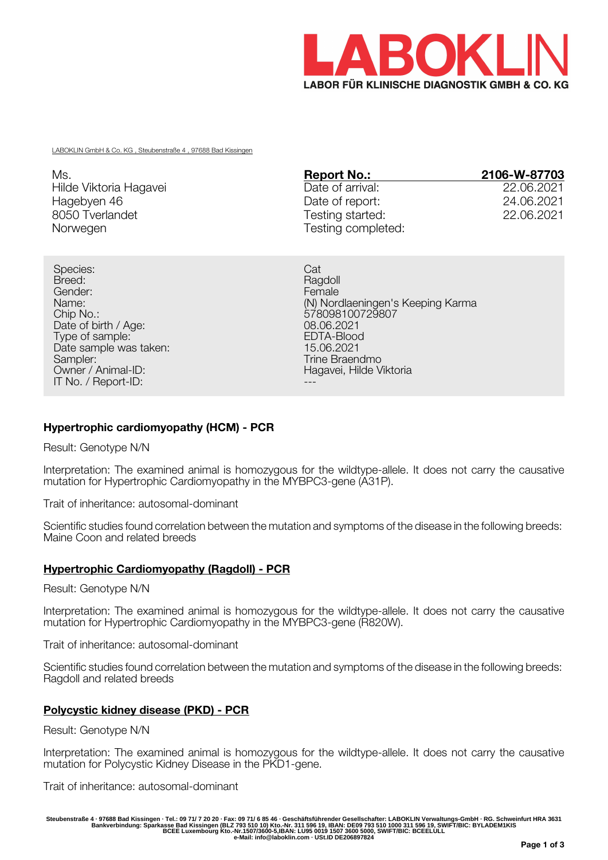

LABOKLIN GmbH & Co. KG , Steubenstraße 4 , 97688 Bad Kissingen

| Ms.                    | <b>Report No.:</b> | 2106-W-87703 |
|------------------------|--------------------|--------------|
| Hilde Viktoria Hagavei | Date of arrival:   | 22,06,2021   |
| Hagebyen 46            | Date of report:    | 24.06.2021   |
| 8050 Tverlandet        | Testing started:   | 22.06.2021   |
| Norwegen               | Testing completed: |              |

Species: Cat Breed: Ragdoll **Breed:** Ragdoll **Breed:** Ragdoll **Breed:** Ragdoll **Ragdoll** Gender: Female Chip No.: 578098100729807 Date of birth / Age: 08.06.2021<br>Type of sample: 08.06.2021 Type of sample: EDTA-Blood<br>Date sample was taken: Entry the Material of the Sample was taken: Date sample was taken:<br>Sampler: Sampler: Trine Braendmo<br>
Owner / Animal-ID: Trine Braendmo<br>
Hagavei, Hilde V IT No. / Report-ID:

Name: (N) Nordlaeningen's Keeping Karma Hagavei, Hilde Viktoria

# **Hypertrophic cardiomyopathy (HCM) - PCR**

Result: Genotype N/N

Interpretation: The examined animal is homozygous for the wildtype-allele. It does not carry the causative mutation for Hypertrophic Cardiomyopathy in the MYBPC3-gene (A31P).

Trait of inheritance: autosomal-dominant

Scientific studies found correlation between the mutation and symptoms of the disease in the following breeds: Maine Coon and related breeds

## **Hypertrophic Cardiomyopathy (Ragdoll) - PCR**

Result: Genotype N/N

Interpretation: The examined animal is homozygous for the wildtype-allele. It does not carry the causative mutation for Hypertrophic Cardiomyopathy in the MYBPC3-gene (R820W).

Trait of inheritance: autosomal-dominant

Scientific studies found correlation between the mutation and symptoms of the disease in the following breeds: Ragdoll and related breeds

## **Polycystic kidney disease (PKD) - PCR**

Result: Genotype N/N

Interpretation: The examined animal is homozygous for the wildtype-allele. It does not carry the causative mutation for Polycystic Kidney Disease in the PKD1-gene.

Trait of inheritance: autosomal-dominant

Steubenstraße 4 · 97688 Bad Kissingen · Tel.: 09 71/ 7 20 20 · Fax: 09 71/ 6 85 46 · Geschäftsführender Gesellschafter: LABOKLIN Verwaltungs-GmbH · RG. Schweinfurt HRA 3631<br>Bankverbindung: Sparkasse Bad Kissingen (BLZ 793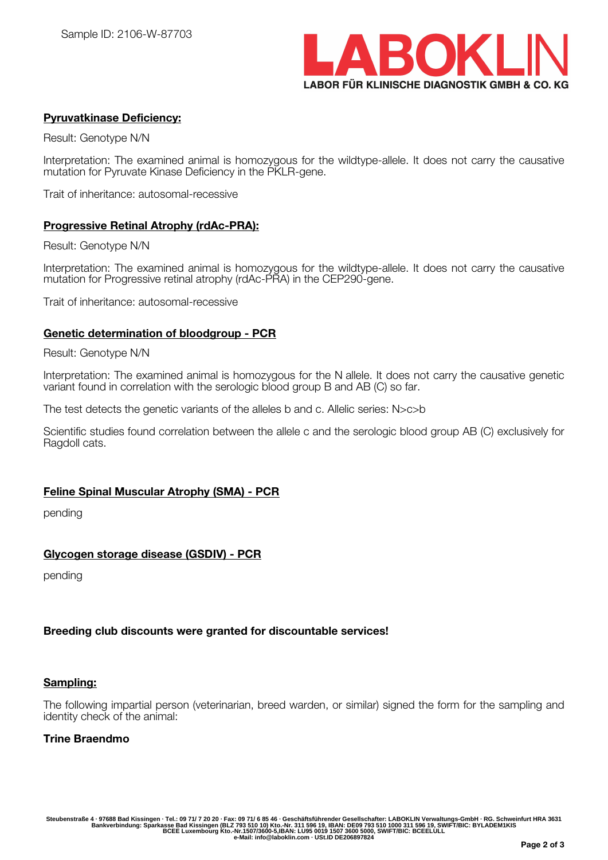

## **Pyruvatkinase Deficiency:**

Result: Genotype N/N

Interpretation: The examined animal is homozygous for the wildtype-allele. It does not carry the causative mutation for Pyruvate Kinase Deficiency in the PKLR-gene.

Trait of inheritance: autosomal-recessive

#### **Progressive Retinal Atrophy (rdAc-PRA):**

Result: Genotype N/N

Interpretation: The examined animal is homozygous for the wildtype-allele. It does not carry the causative mutation for Progressive retinal atrophy (rdAc-PRA) in the CEP290-gene.

Trait of inheritance: autosomal-recessive

#### **Genetic determination of bloodgroup - PCR**

Result: Genotype N/N

Interpretation: The examined animal is homozygous for the N allele. It does not carry the causative genetic variant found in correlation with the serologic blood group B and AB (C) so far.

The test detects the genetic variants of the alleles b and c. Allelic series: N>c>b

Scientific studies found correlation between the allele c and the serologic blood group AB (C) exclusively for Ragdoll cats.

## **Feline Spinal Muscular Atrophy (SMA) - PCR**

pending

## **Glycogen storage disease (GSDIV) - PCR**

pending

## **Breeding club discounts were granted for discountable services!**

#### **Sampling:**

The following impartial person (veterinarian, breed warden, or similar) signed the form for the sampling and identity check of the animal:

#### **Trine Braendmo**

Steubenstraße 4 · 97688 Bad Kissingen · Tel.: 09 71/ 7 20 20 · Fax: 09 71/ 6 85 46 · Geschäftsführender Gesellschafter: LABOKLIN Verwaltungs-GmbH · RG. Schweinfurt HRA 3631<br>Bankverbindung: Sparkasse Bad Kissingen (BLZ 793